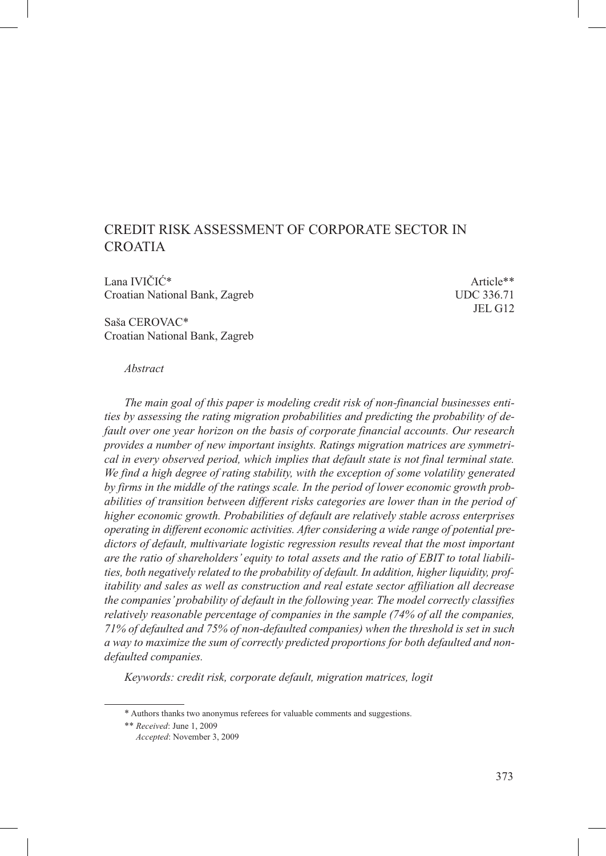# Credit Risk Assessment of Corporate Sector in **CROATIA**

Lana IVIČIĆ\* Article\*\* Croatian National Bank, Zagreb UDC 336.71

JEL G12

Saša CEROVAC\* Croatian National Bank, Zagreb

#### *Abstract*

*The main goal of this paper is modeling credit risk of non-financial businesses entities by assessing the rating migration probabilities and predicting the probability of default over one year horizon on the basis of corporate financial accounts. Our research provides a number of new important insights. Ratings migration matrices are symmetrical in every observed period, which implies that default state is not final terminal state. We find a high degree of rating stability, with the exception of some volatility generated by firms in the middle of the ratings scale. In the period of lower economic growth probabilities of transition between different risks categories are lower than in the period of higher economic growth. Probabilities of default are relatively stable across enterprises operating in different economic activities. After considering a wide range of potential predictors of default, multivariate logistic regression results reveal that the most important are the ratio of shareholders' equity to total assets and the ratio of EBIT to total liabilities, both negatively related to the probability of default. In addition, higher liquidity, profitability and sales as well as construction and real estate sector affiliation all decrease the companies' probability of default in the following year. The model correctly classifies relatively reasonable percentage of companies in the sample (74% of all the companies, 71% of defaulted and 75% of non-defaulted companies) when the threshold is set in such a way to maximize the sum of correctly predicted proportions for both defaulted and nondefaulted companies.*

*Keywords: credit risk, corporate default, migration matrices, logit*

<sup>\*</sup> Authors thanks two anonymus referees for valuable comments and suggestions.

<sup>\*\*</sup> *Received*: June 1, 2009

*Accepted*: November 3, 2009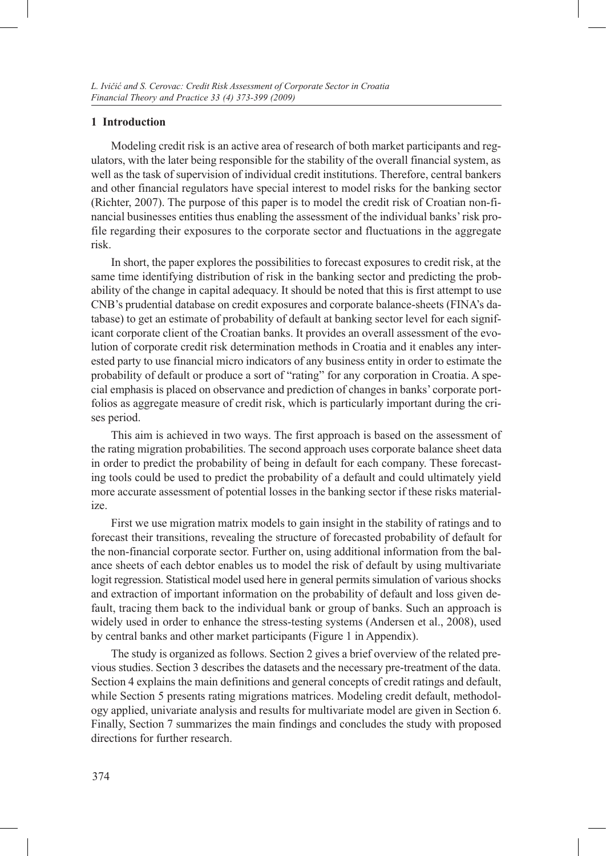### **1 Introduction**

Modeling credit risk is an active area of research of both market participants and regulators, with the later being responsible for the stability of the overall financial system, as well as the task of supervision of individual credit institutions. Therefore, central bankers and other financial regulators have special interest to model risks for the banking sector (Richter, 2007). The purpose of this paper is to model the credit risk of Croatian non-financial businesses entities thus enabling the assessment of the individual banks' risk profile regarding their exposures to the corporate sector and fluctuations in the aggregate risk.

In short, the paper explores the possibilities to forecast exposures to credit risk, at the same time identifying distribution of risk in the banking sector and predicting the probability of the change in capital adequacy. It should be noted that this is first attempt to use CNB's prudential database on credit exposures and corporate balance-sheets (FINA's database) to get an estimate of probability of default at banking sector level for each significant corporate client of the Croatian banks. It provides an overall assessment of the evolution of corporate credit risk determination methods in Croatia and it enables any interested party to use financial micro indicators of any business entity in order to estimate the probability of default or produce a sort of "rating" for any corporation in Croatia. A special emphasis is placed on observance and prediction of changes in banks' corporate portfolios as aggregate measure of credit risk, which is particularly important during the crises period.

This aim is achieved in two ways. The first approach is based on the assessment of the rating migration probabilities. The second approach uses corporate balance sheet data in order to predict the probability of being in default for each company. These forecasting tools could be used to predict the probability of a default and could ultimately yield more accurate assessment of potential losses in the banking sector if these risks materialize.

First we use migration matrix models to gain insight in the stability of ratings and to forecast their transitions, revealing the structure of forecasted probability of default for the non-financial corporate sector. Further on, using additional information from the balance sheets of each debtor enables us to model the risk of default by using multivariate logit regression. Statistical model used here in general permits simulation of various shocks and extraction of important information on the probability of default and loss given default, tracing them back to the individual bank or group of banks. Such an approach is widely used in order to enhance the stress-testing systems (Andersen et al., 2008), used by central banks and other market participants (Figure 1 in Appendix).

The study is organized as follows. Section 2 gives a brief overview of the related previous studies. Section 3 describes the datasets and the necessary pre-treatment of the data. Section 4 explains the main definitions and general concepts of credit ratings and default, while Section 5 presents rating migrations matrices. Modeling credit default, methodology applied, univariate analysis and results for multivariate model are given in Section 6. Finally, Section 7 summarizes the main findings and concludes the study with proposed directions for further research.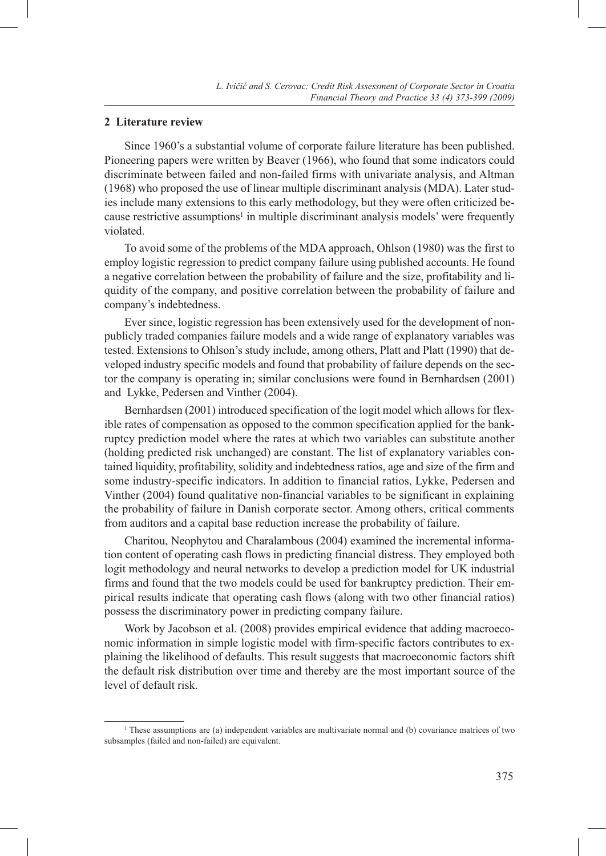# **2 Literature review**

Since 1960's a substantial volume of corporate failure literature has been published. Pioneering papers were written by Beaver (1966), who found that some indicators could discriminate between failed and non-failed firms with univariate analysis, and Altman (1968) who proposed the use of linear multiple discriminant analysis (MDA). Later studies include many extensions to this early methodology, but they were often criticized because restrictive assumptions<sup>1</sup> in multiple discriminant analysis models' were frequently violated.

To avoid some of the problems of the MDA approach, Ohlson (1980) was the first to employ logistic regression to predict company failure using published accounts. He found a negative correlation between the probability of failure and the size, profitability and liquidity of the company, and positive correlation between the probability of failure and company's indebtedness.

Ever since, logistic regression has been extensively used for the development of nonpublicly traded companies failure models and a wide range of explanatory variables was tested. Extensions to Ohlson's study include, among others, Platt and Platt (1990) that developed industry specific models and found that probability of failure depends on the sector the company is operating in; similar conclusions were found in Bernhardsen (2001) and Lykke, Pedersen and Vinther (2004).

Bernhardsen (2001) introduced specification of the logit model which allows for flexible rates of compensation as opposed to the common specification applied for the bankruptcy prediction model where the rates at which two variables can substitute another (holding predicted risk unchanged) are constant. The list of explanatory variables contained liquidity, profitability, solidity and indebtedness ratios, age and size of the firm and some industry-specific indicators. In addition to financial ratios, Lykke, Pedersen and Vinther (2004) found qualitative non-financial variables to be significant in explaining the probability of failure in Danish corporate sector. Among others, critical comments from auditors and a capital base reduction increase the probability of failure.

Charitou, Neophytou and Charalambous (2004) examined the incremental information content of operating cash flows in predicting financial distress. They employed both logit methodology and neural networks to develop a prediction model for UK industrial firms and found that the two models could be used for bankruptcy prediction. Their empirical results indicate that operating cash flows (along with two other financial ratios) possess the discriminatory power in predicting company failure.

Work by Jacobson et al. (2008) provides empirical evidence that adding macroeconomic information in simple logistic model with firm-specific factors contributes to explaining the likelihood of defaults. This result suggests that macroeconomic factors shift the default risk distribution over time and thereby are the most important source of the level of default risk.

<sup>1</sup> These assumptions are (a) independent variables are multivariate normal and (b) covariance matrices of two subsamples (failed and non-failed) are equivalent.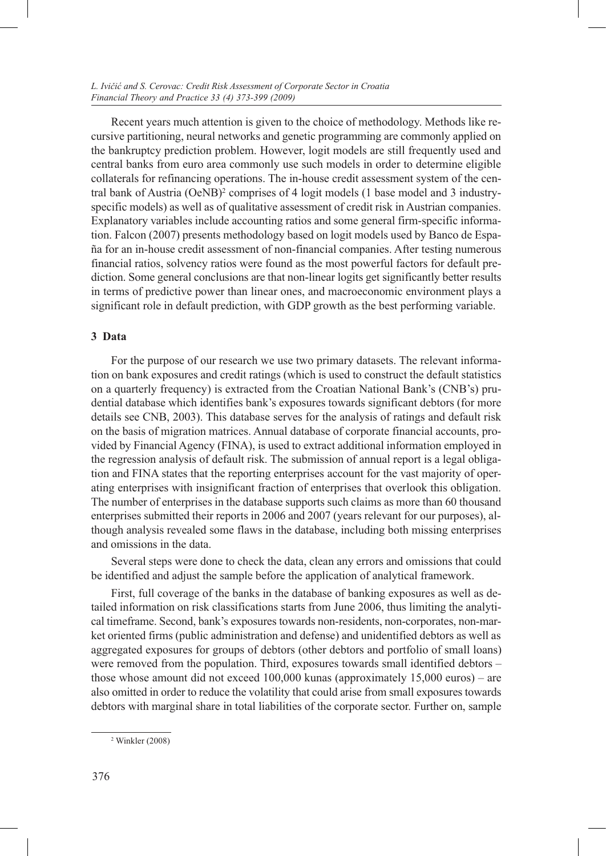Recent years much attention is given to the choice of methodology. Methods like recursive partitioning, neural networks and genetic programming are commonly applied on the bankruptcy prediction problem. However, logit models are still frequently used and central banks from euro area commonly use such models in order to determine eligible collaterals for refinancing operations. The in-house credit assessment system of the central bank of Austria (OeNB)<sup>2</sup> comprises of 4 logit models (1 base model and 3 industryspecific models) as well as of qualitative assessment of credit risk in Austrian companies. Explanatory variables include accounting ratios and some general firm-specific information. Falcon (2007) presents methodology based on logit models used by Banco de España for an in-house credit assessment of non-financial companies. After testing numerous financial ratios, solvency ratios were found as the most powerful factors for default prediction. Some general conclusions are that non-linear logits get significantly better results in terms of predictive power than linear ones, and macroeconomic environment plays a significant role in default prediction, with GDP growth as the best performing variable.

# **3 Data**

For the purpose of our research we use two primary datasets. The relevant information on bank exposures and credit ratings (which is used to construct the default statistics on a quarterly frequency) is extracted from the Croatian National Bank's (CNB's) prudential database which identifies bank's exposures towards significant debtors (for more details see CNB, 2003). This database serves for the analysis of ratings and default risk on the basis of migration matrices. Annual database of corporate financial accounts, provided by Financial Agency (FINA), is used to extract additional information employed in the regression analysis of default risk. The submission of annual report is a legal obligation and FINA states that the reporting enterprises account for the vast majority of operating enterprises with insignificant fraction of enterprises that overlook this obligation. The number of enterprises in the database supports such claims as more than 60 thousand enterprises submitted their reports in 2006 and 2007 (years relevant for our purposes), although analysis revealed some flaws in the database, including both missing enterprises and omissions in the data.

Several steps were done to check the data, clean any errors and omissions that could be identified and adjust the sample before the application of analytical framework.

First, full coverage of the banks in the database of banking exposures as well as detailed information on risk classifications starts from June 2006, thus limiting the analytical timeframe. Second, bank's exposures towards non-residents, non-corporates, non-market oriented firms (public administration and defense) and unidentified debtors as well as aggregated exposures for groups of debtors (other debtors and portfolio of small loans) were removed from the population. Third, exposures towards small identified debtors – those whose amount did not exceed 100,000 kunas (approximately 15,000 euros) – are also omitted in order to reduce the volatility that could arise from small exposures towards debtors with marginal share in total liabilities of the corporate sector. Further on, sample

<sup>2</sup> Winkler (2008)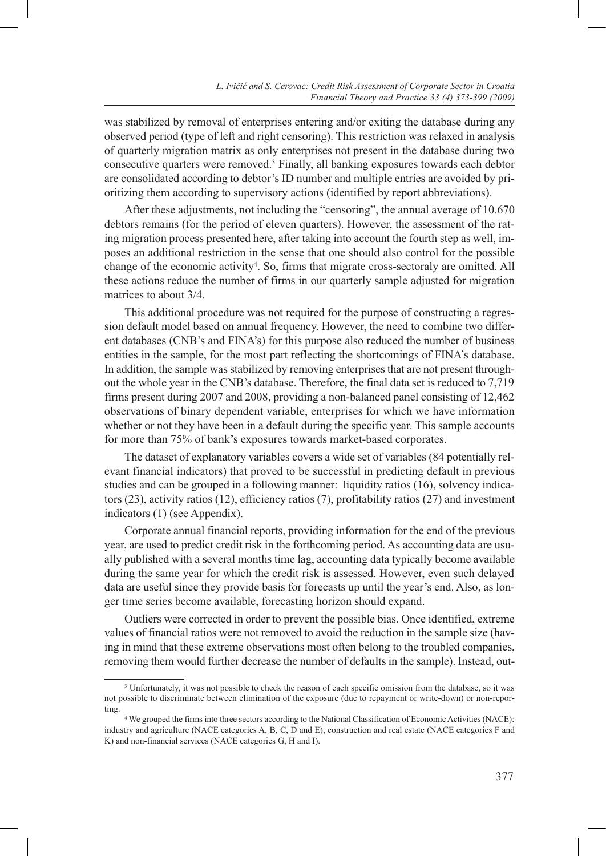was stabilized by removal of enterprises entering and/or exiting the database during any observed period (type of left and right censoring). This restriction was relaxed in analysis of quarterly migration matrix as only enterprises not present in the database during two consecutive quarters were removed.3 Finally, all banking exposures towards each debtor are consolidated according to debtor's ID number and multiple entries are avoided by prioritizing them according to supervisory actions (identified by report abbreviations).

After these adjustments, not including the "censoring", the annual average of 10.670 debtors remains (for the period of eleven quarters). However, the assessment of the rating migration process presented here, after taking into account the fourth step as well, imposes an additional restriction in the sense that one should also control for the possible change of the economic activity<sup>4</sup>. So, firms that migrate cross-sectoraly are omitted. All these actions reduce the number of firms in our quarterly sample adjusted for migration matrices to about 3/4.

This additional procedure was not required for the purpose of constructing a regression default model based on annual frequency. However, the need to combine two different databases (CNB's and FINA's) for this purpose also reduced the number of business entities in the sample, for the most part reflecting the shortcomings of FINA's database. In addition, the sample was stabilized by removing enterprises that are not present throughout the whole year in the CNB's database. Therefore, the final data set is reduced to 7,719 firms present during 2007 and 2008, providing a non-balanced panel consisting of 12,462 observations of binary dependent variable, enterprises for which we have information whether or not they have been in a default during the specific year. This sample accounts for more than 75% of bank's exposures towards market-based corporates.

The dataset of explanatory variables covers a wide set of variables (84 potentially relevant financial indicators) that proved to be successful in predicting default in previous studies and can be grouped in a following manner: liquidity ratios (16), solvency indicators (23), activity ratios (12), efficiency ratios (7), profitability ratios (27) and investment indicators (1) (see Appendix).

Corporate annual financial reports, providing information for the end of the previous year, are used to predict credit risk in the forthcoming period. As accounting data are usually published with a several months time lag, accounting data typically become available during the same year for which the credit risk is assessed. However, even such delayed data are useful since they provide basis for forecasts up until the year's end. Also, as longer time series become available, forecasting horizon should expand.

Outliers were corrected in order to prevent the possible bias. Once identified, extreme values of financial ratios were not removed to avoid the reduction in the sample size (having in mind that these extreme observations most often belong to the troubled companies, removing them would further decrease the number of defaults in the sample). Instead, out-

<sup>3</sup> Unfortunately, it was not possible to check the reason of each specific omission from the database, so it was not possible to discriminate between elimination of the exposure (due to repayment or write-down) or non-reporting.

<sup>4</sup> We grouped the firms into three sectors according to the National Classification of Economic Activities (NACE): industry and agriculture (NACE categories A, B, C, D and E), construction and real estate (NACE categories F and K) and non-financial services (NACE categories G, H and I).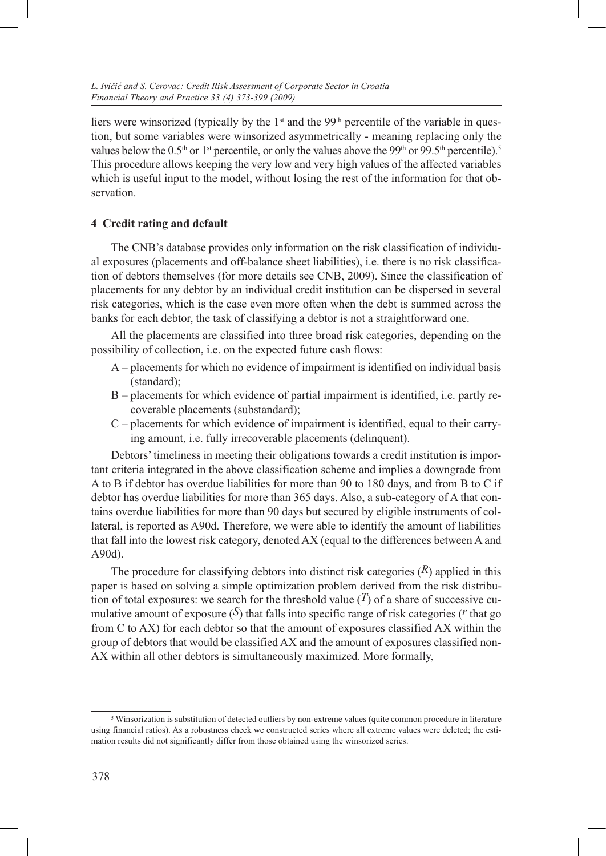liers were winsorized (typically by the 1<sup>st</sup> and the 99<sup>th</sup> percentile of the variable in question, but some variables were winsorized asymmetrically - meaning replacing only the values below the 0.5<sup>th</sup> or 1<sup>st</sup> percentile, or only the values above the 99<sup>th</sup> or 99.5<sup>th</sup> percentile).<sup>5</sup> This procedure allows keeping the very low and very high values of the affected variables which is useful input to the model, without losing the rest of the information for that observation.

# **4 Credit rating and default**

The CNB's database provides only information on the risk classification of individual exposures (placements and off-balance sheet liabilities), i.e. there is no risk classification of debtors themselves (for more details see CNB, 2009). Since the classification of placements for any debtor by an individual credit institution can be dispersed in several risk categories, which is the case even more often when the debt is summed across the banks for each debtor, the task of classifying a debtor is not a straightforward one.

All the placements are classified into three broad risk categories, depending on the possibility of collection, i.e. on the expected future cash flows:

- A placements for which no evidence of impairment is identified on individual basis (standard);
- B placements for which evidence of partial impairment is identified, i.e. partly recoverable placements (substandard);
- C placements for which evidence of impairment is identified, equal to their carrying amount, i.e. fully irrecoverable placements (delinquent).

Debtors' timeliness in meeting their obligations towards a credit institution is important criteria integrated in the above classification scheme and implies a downgrade from A to B if debtor has overdue liabilities for more than 90 to 180 days, and from B to C if debtor has overdue liabilities for more than 365 days. Also, a sub-category of A that contains overdue liabilities for more than 90 days but secured by eligible instruments of collateral, is reported as A90d. Therefore, we were able to identify the amount of liabilities that fall into the lowest risk category, denoted AX (equal to the differences between A and A90d).

The procedure for classifying debtors into distinct risk categories  $(R)$  applied in this paper is based on solving a simple optimization problem derived from the risk distribution of total exposures: we search for the threshold value  $(T)$  of a share of successive cumulative amount of exposure  $(\mathcal{S})$  that falls into specific range of risk categories ( $r$  that go from C to AX) for each debtor so that the amount of exposures classified AX within the group of debtors that would be classified AX and the amount of exposures classified non-AX within all other debtors is simultaneously maximized. More formally,

<sup>&</sup>lt;sup>5</sup> Winsorization is substitution of detected outliers by non-extreme values (quite common procedure in literature using financial ratios). As a robustness check we constructed series where all extreme values were deleted; the estimation results did not significantly differ from those obtained using the winsorized series.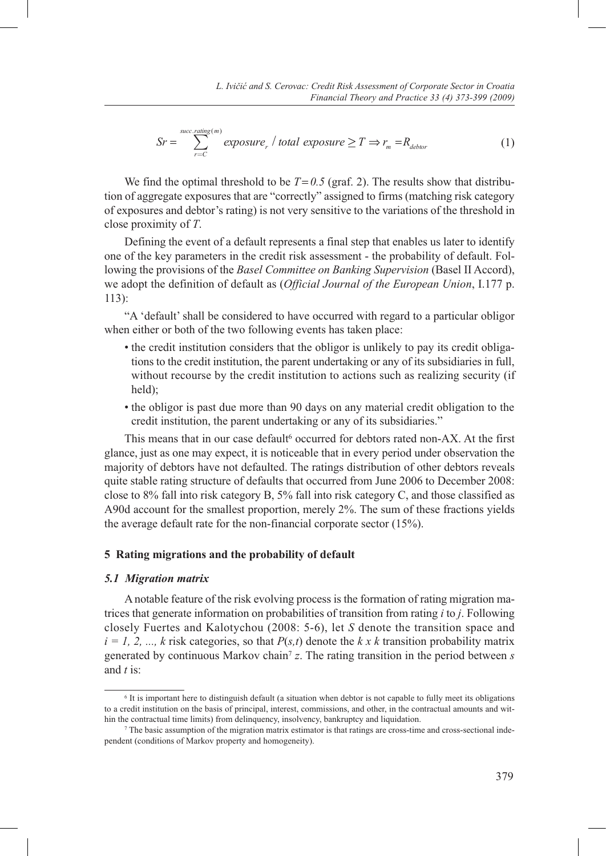$$
Sr = \sum_{r=C}^{succ. rating(m)} exposure_r / total exposure \ge T \Rightarrow r_m = R_{dektor}
$$
 (1)

We find the optimal threshold to be  $T= 0.5$  (graf. 2). The results show that distribution of aggregate exposures that are "correctly" assigned to firms (matching risk category of exposures and debtor's rating) is not very sensitive to the variations of the threshold in close proximity of *T*.

Defining the event of a default represents a final step that enables us later to identify one of the key parameters in the credit risk assessment - the probability of default. Following the provisions of the *Basel Committee on Banking Supervision* (Basel II Accord), we adopt the definition of default as (*Official Journal of the European Union*, I.177 p. 113):

"A 'default' shall be considered to have occurred with regard to a particular obligor when either or both of the two following events has taken place:

- the credit institution considers that the obligor is unlikely to pay its credit obligations to the credit institution, the parent undertaking or any of its subsidiaries in full, without recourse by the credit institution to actions such as realizing security (if held);
- the obligor is past due more than 90 days on any material credit obligation to the credit institution, the parent undertaking or any of its subsidiaries."

This means that in our case default<sup>6</sup> occurred for debtors rated non-AX. At the first glance, just as one may expect, it is noticeable that in every period under observation the majority of debtors have not defaulted. The ratings distribution of other debtors reveals quite stable rating structure of defaults that occurred from June 2006 to December 2008: close to 8% fall into risk category B, 5% fall into risk category C, and those classified as A90d account for the smallest proportion, merely 2%. The sum of these fractions yields the average default rate for the non-financial corporate sector (15%).

#### **5 Rating migrations and the probability of default**

#### *5.1 Migration matrix*

A notable feature of the risk evolving process is the formation of rating migration matrices that generate information on probabilities of transition from rating *i* to *j*. Following closely Fuertes and Kalotychou (2008: 5-6), let *S* denote the transition space and  $i = 1, 2, ..., k$  risk categories, so that  $P(s,t)$  denote the *k x k* transition probability matrix generated by continuous Markov chain7 *z*. The rating transition in the period between *s* and *t* is:

<sup>6</sup> It is important here to distinguish default (a situation when debtor is not capable to fully meet its obligations to a credit institution on the basis of principal, interest, commissions, and other, in the contractual amounts and within the contractual time limits) from delinquency, insolvency, bankruptcy and liquidation.

<sup>7</sup> The basic assumption of the migration matrix estimator is that ratings are cross-time and cross-sectional independent (conditions of Markov property and homogeneity).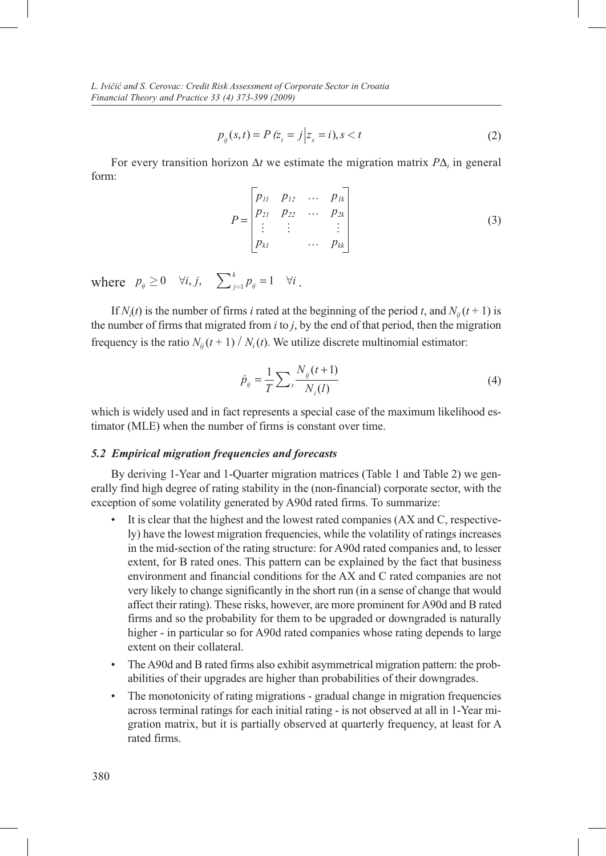$$
p_{ij}(s,t) = P(z_t = j | z_s = i), s < t
$$
 (2)

For every transition horizon  $\Delta t$  we estimate the migration matrix  $P\Delta_t$  in general form:

$$
P = \begin{bmatrix} p_{11} & p_{12} & \cdots & p_{1k} \\ p_{21} & p_{22} & \cdots & p_{2k} \\ \vdots & \vdots & & \vdots \\ p_{k1} & \cdots & p_{kk} \end{bmatrix}
$$
 (3)

where  $p_{ij} \ge 0 \quad \forall i, j, \quad \sum_{j=1}^k p_{ij} = 1 \quad \forall i$ .

If *N<sub>i</sub>*(*t*) is the number of firms *i* rated at the beginning of the period *t*, and *N<sub>ij</sub>*(*t* + 1) is the number of firms that migrated from *i* to *j*, by the end of that period, then the migration frequency is the ratio  $N_{ii}$  ( $t + 1$ ) /  $N_i(t)$ . We utilize discrete multinomial estimator:

$$
\hat{p}_{ij} = \frac{1}{T} \sum_{t} \frac{N_{ij}(t+1)}{N_i(l)}
$$
\n(4)

which is widely used and in fact represents a special case of the maximum likelihood estimator (MLE) when the number of firms is constant over time.

#### *5.2 Empirical migration frequencies and forecasts*

By deriving 1-Year and 1-Quarter migration matrices (Table 1 and Table 2) we generally find high degree of rating stability in the (non-financial) corporate sector, with the exception of some volatility generated by A90d rated firms. To summarize:

- It is clear that the highest and the lowest rated companies (AX and C, respectively) have the lowest migration frequencies, while the volatility of ratings increases in the mid-section of the rating structure: for A90d rated companies and, to lesser extent, for B rated ones. This pattern can be explained by the fact that business environment and financial conditions for the AX and C rated companies are not very likely to change significantly in the short run (in a sense of change that would affect their rating). These risks, however, are more prominent for A90d and B rated firms and so the probability for them to be upgraded or downgraded is naturally higher - in particular so for A90d rated companies whose rating depends to large extent on their collateral.
- The A90d and B rated firms also exhibit asymmetrical migration pattern: the probabilities of their upgrades are higher than probabilities of their downgrades.
- The monotonicity of rating migrations gradual change in migration frequencies across terminal ratings for each initial rating - is not observed at all in 1-Year migration matrix, but it is partially observed at quarterly frequency, at least for A rated firms.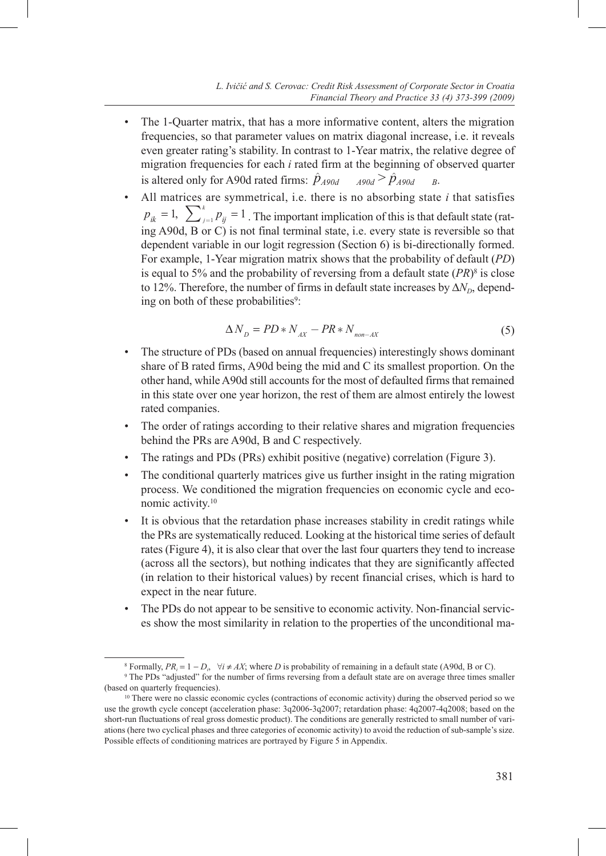- The 1-Quarter matrix, that has a more informative content, alters the migration frequencies, so that parameter values on matrix diagonal increase, i.e. it reveals even greater rating's stability. In contrast to 1-Year matrix, the relative degree of migration frequencies for each *i* rated firm at the beginning of observed quarter is altered only for A90d rated firms:  $\hat{p}_{A90d}$  *A90d*  $\hat{p}_{A90d}$  *B*.
- All matrices are symmetrical, i.e. there is no absorbing state *i* that satisfies  $p_{ik} = 1$ ,  $\sum_{j=1}^{k} p_{ij} = 1$ . The important implication of this is that default state (rating A90d, B or C) is not final terminal state, i.e. every state is reversible so that dependent variable in our logit regression (Section 6) is bi-directionally formed. For example, 1-Year migration matrix shows that the probability of default (*PD*) is equal to 5% and the probability of reversing from a default state  $(PR)^8$  is close to 12%. Therefore, the number of firms in default state increases by  $\Delta N_D$ , depending on both of these probabilities<sup>9</sup>:

$$
\Delta N_D = PD \ast N_{AX} - PR \ast N_{non-AX} \tag{5}
$$

- The structure of PDs (based on annual frequencies) interestingly shows dominant share of B rated firms, A90d being the mid and C its smallest proportion. On the other hand, while A90d still accounts for the most of defaulted firms that remained in this state over one year horizon, the rest of them are almost entirely the lowest rated companies.
- The order of ratings according to their relative shares and migration frequencies behind the PRs are A90d, B and C respectively.
- The ratings and PDs (PRs) exhibit positive (negative) correlation (Figure 3).
- The conditional quarterly matrices give us further insight in the rating migration process. We conditioned the migration frequencies on economic cycle and economic activity.10
- It is obvious that the retardation phase increases stability in credit ratings while the PRs are systematically reduced. Looking at the historical time series of default rates (Figure 4), it is also clear that over the last four quarters they tend to increase (across all the sectors), but nothing indicates that they are significantly affected (in relation to their historical values) by recent financial crises, which is hard to expect in the near future.
- The PDs do not appear to be sensitive to economic activity. Non-financial services show the most similarity in relation to the properties of the unconditional ma-

<sup>8</sup> Formally,  $PR_i = 1 - D_i$ ,  $\forall i \neq AX$ ; where *D* is probability of remaining in a default state (A90d, B or C).

<sup>9</sup> The PDs "adjusted" for the number of firms reversing from a default state are on average three times smaller (based on quarterly frequencies).

<sup>&</sup>lt;sup>10</sup> There were no classic economic cycles (contractions of economic activity) during the observed period so we use the growth cycle concept (acceleration phase: 3q2006-3q2007; retardation phase: 4q2007-4q2008; based on the short-run fluctuations of real gross domestic product). The conditions are generally restricted to small number of variations (here two cyclical phases and three categories of economic activity) to avoid the reduction of sub-sample's size. Possible effects of conditioning matrices are portrayed by Figure 5 in Appendix.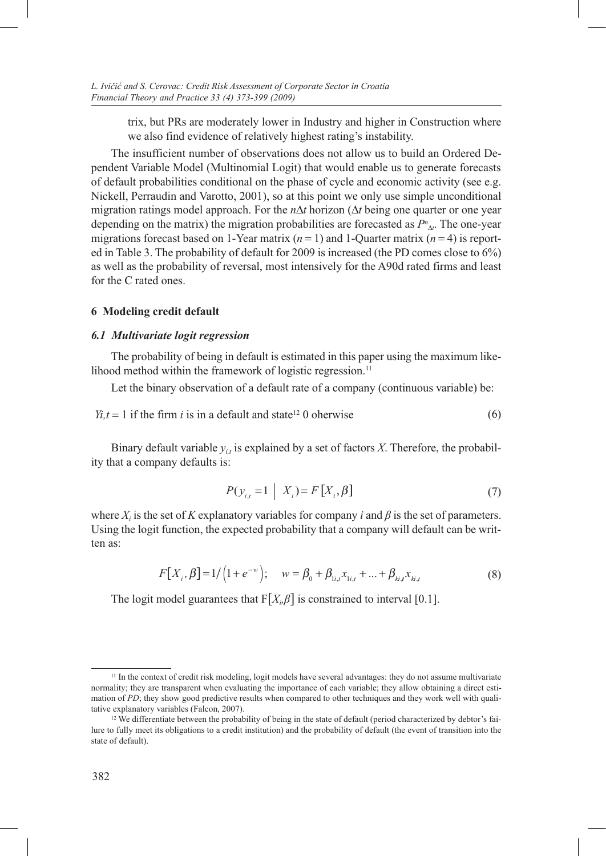trix, but PRs are moderately lower in Industry and higher in Construction where we also find evidence of relatively highest rating's instability.

The insufficient number of observations does not allow us to build an Ordered Dependent Variable Model (Multinomial Logit) that would enable us to generate forecasts of default probabilities conditional on the phase of cycle and economic activity (see e.g. Nickell, Perraudin and Varotto, 2001), so at this point we only use simple unconditional migration ratings model approach. For the  $n\Delta t$  horizon ( $\Delta t$  being one quarter or one year depending on the matrix) the migration probabilities are forecasted as  $P^n_{\Delta}$ . The one-year migrations forecast based on 1-Year matrix  $(n = 1)$  and 1-Quarter matrix  $(n = 4)$  is reported in Table 3. The probability of default for 2009 is increased (the PD comes close to 6%) as well as the probability of reversal, most intensively for the A90d rated firms and least for the C rated ones.

# **6 Modeling credit default**

#### *6.1 Multivariate logit regression*

The probability of being in default is estimated in this paper using the maximum likelihood method within the framework of logistic regression.<sup>11</sup>

Let the binary observation of a default rate of a company (continuous variable) be:

$$
Yi, t = 1
$$
 if the firm *i* is in a default and state<sup>12</sup> 0 otherwise (6)

Binary default variable  $y_{i,t}$  is explained by a set of factors *X*. Therefore, the probability that a company defaults is:

$$
P(y_{i,t} = 1 \mid X_i) = F[X_i, \beta]
$$
\n<sup>(7)</sup>

where  $X_i$  is the set of *K* explanatory variables for company *i* and  $\beta$  is the set of parameters. Using the logit function, the expected probability that a company will default can be written as:

$$
F[X_i, \beta] = 1/\left(1 + e^{-w}\right); \quad w = \beta_0 + \beta_{i,i} x_{i,i} + \dots + \beta_{ki,t} x_{ki,t} \tag{8}
$$

The logit model guarantees that  $F[X_i, \beta]$  is constrained to interval [0.1].

<sup>&</sup>lt;sup>11</sup> In the context of credit risk modeling, logit models have several advantages: they do not assume multivariate normality; they are transparent when evaluating the importance of each variable; they allow obtaining a direct estimation of *PD*; they show good predictive results when compared to other techniques and they work well with qualitative explanatory variables (Falcon, 2007).

<sup>&</sup>lt;sup>12</sup> We differentiate between the probability of being in the state of default (period characterized by debtor's failure to fully meet its obligations to a credit institution) and the probability of default (the event of transition into the state of default).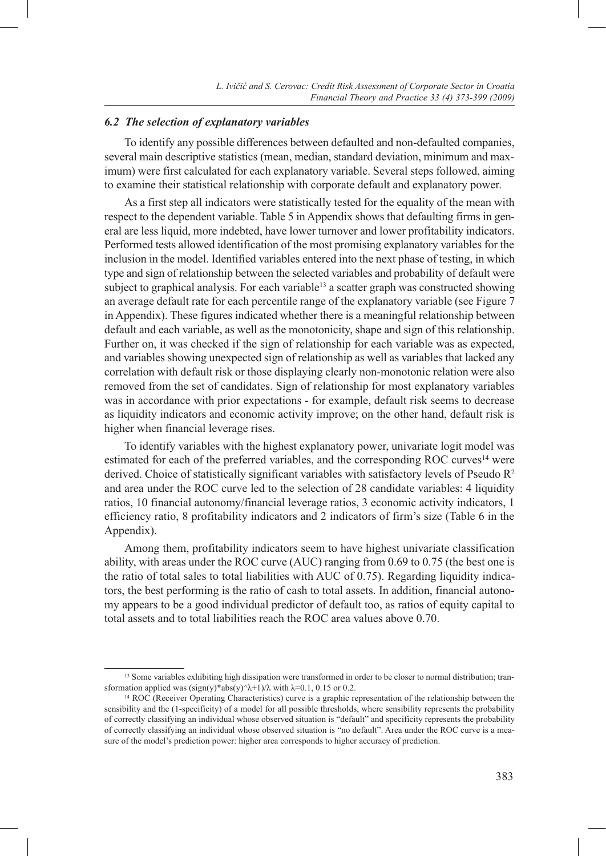# *6.2 The selection of explanatory variables*

To identify any possible differences between defaulted and non-defaulted companies, several main descriptive statistics (mean, median, standard deviation, minimum and maximum) were first calculated for each explanatory variable. Several steps followed, aiming to examine their statistical relationship with corporate default and explanatory power.

As a first step all indicators were statistically tested for the equality of the mean with respect to the dependent variable. Table 5 in Appendix shows that defaulting firms in general are less liquid, more indebted, have lower turnover and lower profitability indicators. Performed tests allowed identification of the most promising explanatory variables for the inclusion in the model. Identified variables entered into the next phase of testing, in which type and sign of relationship between the selected variables and probability of default were subject to graphical analysis. For each variable<sup>13</sup> a scatter graph was constructed showing an average default rate for each percentile range of the explanatory variable (see Figure 7 in Appendix). These figures indicated whether there is a meaningful relationship between default and each variable, as well as the monotonicity, shape and sign of this relationship. Further on, it was checked if the sign of relationship for each variable was as expected, and variables showing unexpected sign of relationship as well as variables that lacked any correlation with default risk or those displaying clearly non-monotonic relation were also removed from the set of candidates. Sign of relationship for most explanatory variables was in accordance with prior expectations - for example, default risk seems to decrease as liquidity indicators and economic activity improve; on the other hand, default risk is higher when financial leverage rises.

To identify variables with the highest explanatory power, univariate logit model was estimated for each of the preferred variables, and the corresponding ROC curves<sup>14</sup> were derived. Choice of statistically significant variables with satisfactory levels of Pseudo  $R^2$ and area under the ROC curve led to the selection of 28 candidate variables: 4 liquidity ratios, 10 financial autonomy/financial leverage ratios, 3 economic activity indicators, 1 efficiency ratio, 8 profitability indicators and 2 indicators of firm's size (Table 6 in the Appendix).

Among them, profitability indicators seem to have highest univariate classification ability, with areas under the ROC curve (AUC) ranging from 0.69 to 0.75 (the best one is the ratio of total sales to total liabilities with AUC of 0.75). Regarding liquidity indicators, the best performing is the ratio of cash to total assets. In addition, financial autonomy appears to be a good individual predictor of default too, as ratios of equity capital to total assets and to total liabilities reach the ROC area values above 0.70.

<sup>&</sup>lt;sup>13</sup> Some variables exhibiting high dissipation were transformed in order to be closer to normal distribution; transformation applied was  $(sign(y)*abs(y)^{\lambda+1})/\lambda$  with  $\lambda=0.1$ , 0.15 or 0.2.

<sup>14</sup> ROC (Receiver Operating Characteristics) curve is a graphic representation of the relationship between the sensibility and the (1-specificity) of a model for all possible thresholds, where sensibility represents the probability of correctly classifying an individual whose observed situation is "default" and specificity represents the probability of correctly classifying an individual whose observed situation is "no default". Area under the ROC curve is a measure of the model's prediction power: higher area corresponds to higher accuracy of prediction.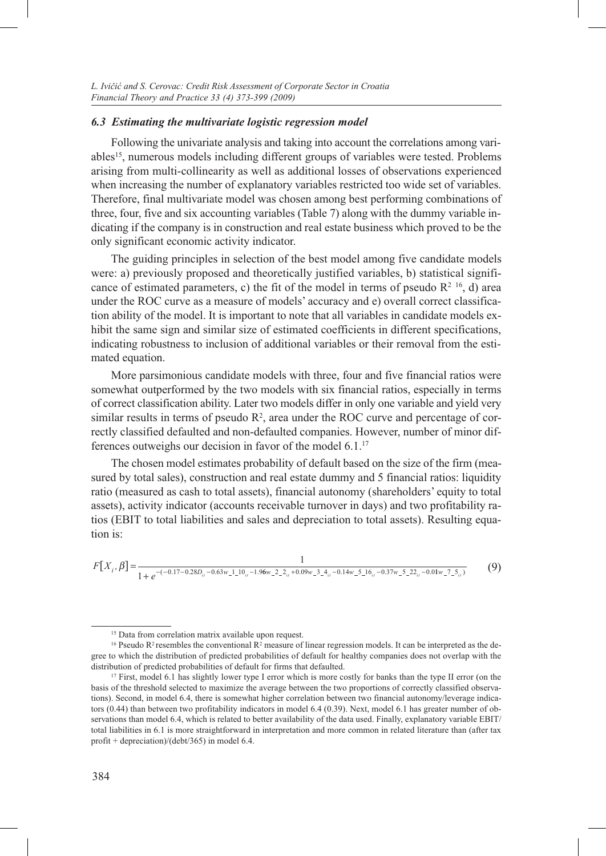### *6.3 Estimating the multivariate logistic regression model*

Following the univariate analysis and taking into account the correlations among variables<sup>15</sup>, numerous models including different groups of variables were tested. Problems arising from multi-collinearity as well as additional losses of observations experienced when increasing the number of explanatory variables restricted too wide set of variables. Therefore, final multivariate model was chosen among best performing combinations of three, four, five and six accounting variables (Table 7) along with the dummy variable indicating if the company is in construction and real estate business which proved to be the only significant economic activity indicator.

The guiding principles in selection of the best model among five candidate models were: a) previously proposed and theoretically justified variables, b) statistical significance of estimated parameters, c) the fit of the model in terms of pseudo  $R<sup>2</sup>$  1<sup>6</sup>, d) area under the ROC curve as a measure of models' accuracy and e) overall correct classification ability of the model. It is important to note that all variables in candidate models exhibit the same sign and similar size of estimated coefficients in different specifications, indicating robustness to inclusion of additional variables or their removal from the estimated equation.

More parsimonious candidate models with three, four and five financial ratios were somewhat outperformed by the two models with six financial ratios, especially in terms of correct classification ability. Later two models differ in only one variable and yield very similar results in terms of pseudo  $R<sup>2</sup>$ , area under the ROC curve and percentage of correctly classified defaulted and non-defaulted companies. However, number of minor differences outweighs our decision in favor of the model 6.1.17

The chosen model estimates probability of default based on the size of the firm (measured by total sales), construction and real estate dummy and 5 financial ratios: liquidity ratio (measured as cash to total assets), financial autonomy (shareholders' equity to total assets), activity indicator (accounts receivable turnover in days) and two profitability ratios (EBIT to total liabilities and sales and depreciation to total assets). Resulting equation is:

$$
F[X_i, \beta] = \frac{1}{1 + e^{-(0.17 - 0.28D_{ii} - 0.63w_1 - 1.10_{ii} - 1.96w_2 - 2_{ii} + 0.09w_2 - 3_{ii} - 0.14w_2 - 5_16_{ii} - 0.37w_2 - 5_22w_2 - 0.01w_2 - 7_2w_1)}
$$
(9)

<sup>&</sup>lt;sup>15</sup> Data from correlation matrix available upon request.

<sup>&</sup>lt;sup>16</sup> Pseudo R<sup>2</sup> resembles the conventional R<sup>2</sup> measure of linear regression models. It can be interpreted as the degree to which the distribution of predicted probabilities of default for healthy companies does not overlap with the distribution of predicted probabilities of default for firms that defaulted.

<sup>&</sup>lt;sup>17</sup> First, model 6.1 has slightly lower type I error which is more costly for banks than the type II error (on the basis of the threshold selected to maximize the average between the two proportions of correctly classified observations). Second, in model 6.4, there is somewhat higher correlation between two financial autonomy/leverage indicators (0.44) than between two profitability indicators in model 6.4 (0.39). Next, model 6.1 has greater number of observations than model 6.4, which is related to better availability of the data used. Finally, explanatory variable EBIT/ total liabilities in 6.1 is more straightforward in interpretation and more common in related literature than (after tax profit + depreciation)/(debt/365) in model 6.4.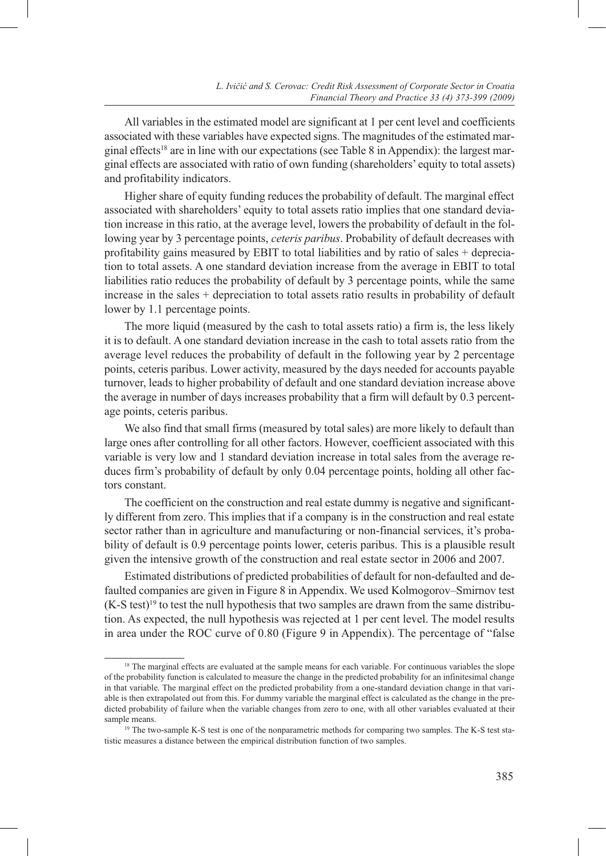All variables in the estimated model are significant at 1 per cent level and coefficients associated with these variables have expected signs. The magnitudes of the estimated marginal effects<sup>18</sup> are in line with our expectations (see Table 8 in Appendix): the largest marginal effects are associated with ratio of own funding (shareholders' equity to total assets) and profitability indicators.

Higher share of equity funding reduces the probability of default. The marginal effect associated with shareholders' equity to total assets ratio implies that one standard deviation increase in this ratio, at the average level, lowers the probability of default in the following year by 3 percentage points, *ceteris paribus*. Probability of default decreases with profitability gains measured by EBIT to total liabilities and by ratio of sales + depreciation to total assets. A one standard deviation increase from the average in EBIT to total liabilities ratio reduces the probability of default by 3 percentage points, while the same increase in the sales + depreciation to total assets ratio results in probability of default lower by 1.1 percentage points.

The more liquid (measured by the cash to total assets ratio) a firm is, the less likely it is to default. A one standard deviation increase in the cash to total assets ratio from the average level reduces the probability of default in the following year by 2 percentage points, ceteris paribus. Lower activity, measured by the days needed for accounts payable turnover, leads to higher probability of default and one standard deviation increase above the average in number of days increases probability that a firm will default by 0.3 percentage points, ceteris paribus.

We also find that small firms (measured by total sales) are more likely to default than large ones after controlling for all other factors. However, coefficient associated with this variable is very low and 1 standard deviation increase in total sales from the average reduces firm's probability of default by only 0.04 percentage points, holding all other factors constant.

The coefficient on the construction and real estate dummy is negative and significantly different from zero. This implies that if a company is in the construction and real estate sector rather than in agriculture and manufacturing or non-financial services, it's probability of default is 0.9 percentage points lower, ceteris paribus. This is a plausible result given the intensive growth of the construction and real estate sector in 2006 and 2007.

Estimated distributions of predicted probabilities of default for non-defaulted and defaulted companies are given in Figure 8 in Appendix. We used Kolmogorov–Smirnov test  $(K-S$  test)<sup>19</sup> to test the null hypothesis that two samples are drawn from the same distribution. As expected, the null hypothesis was rejected at 1 per cent level. The model results in area under the ROC curve of 0.80 (Figure 9 in Appendix). The percentage of "false

<sup>&</sup>lt;sup>18</sup> The marginal effects are evaluated at the sample means for each variable. For continuous variables the slope of the probability function is calculated to measure the change in the predicted probability for an infinitesimal change in that variable. The marginal effect on the predicted probability from a one-standard deviation change in that variable is then extrapolated out from this. For dummy variable the marginal effect is calculated as the change in the predicted probability of failure when the variable changes from zero to one, with all other variables evaluated at their sample means.

<sup>&</sup>lt;sup>19</sup> The two-sample K-S test is one of the nonparametric methods for comparing two samples. The K-S test statistic measures a distance between the empirical distribution function of two samples.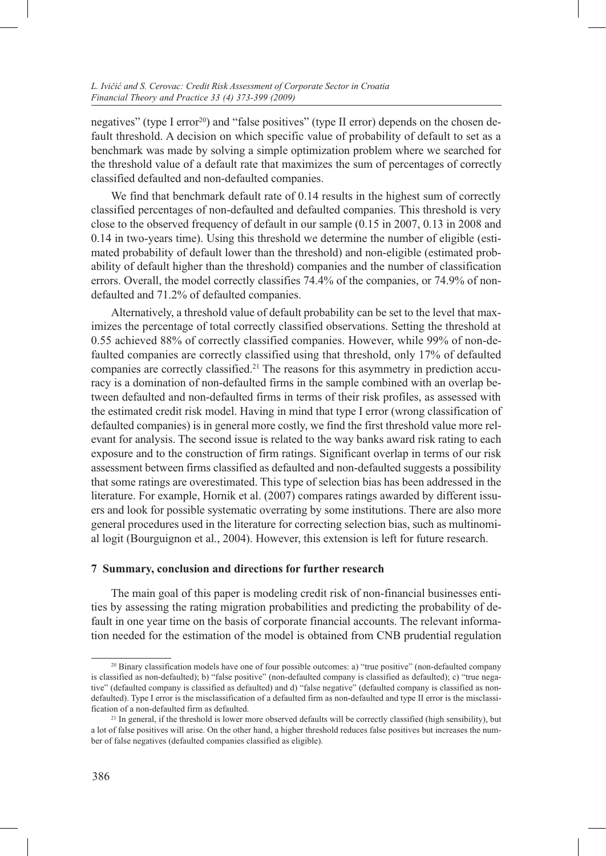negatives" (type I error<sup>20</sup>) and "false positives" (type II error) depends on the chosen default threshold. A decision on which specific value of probability of default to set as a benchmark was made by solving a simple optimization problem where we searched for the threshold value of a default rate that maximizes the sum of percentages of correctly classified defaulted and non-defaulted companies.

We find that benchmark default rate of 0.14 results in the highest sum of correctly classified percentages of non-defaulted and defaulted companies. This threshold is very close to the observed frequency of default in our sample (0.15 in 2007, 0.13 in 2008 and 0.14 in two-years time). Using this threshold we determine the number of eligible (estimated probability of default lower than the threshold) and non-eligible (estimated probability of default higher than the threshold) companies and the number of classification errors. Overall, the model correctly classifies 74.4% of the companies, or 74.9% of nondefaulted and 71.2% of defaulted companies.

Alternatively, a threshold value of default probability can be set to the level that maximizes the percentage of total correctly classified observations. Setting the threshold at 0.55 achieved 88% of correctly classified companies. However, while 99% of non-defaulted companies are correctly classified using that threshold, only 17% of defaulted companies are correctly classified.21 The reasons for this asymmetry in prediction accuracy is a domination of non-defaulted firms in the sample combined with an overlap between defaulted and non-defaulted firms in terms of their risk profiles, as assessed with the estimated credit risk model. Having in mind that type I error (wrong classification of defaulted companies) is in general more costly, we find the first threshold value more relevant for analysis. The second issue is related to the way banks award risk rating to each exposure and to the construction of firm ratings. Significant overlap in terms of our risk assessment between firms classified as defaulted and non-defaulted suggests a possibility that some ratings are overestimated. This type of selection bias has been addressed in the literature. For example, Hornik et al. (2007) compares ratings awarded by different issuers and look for possible systematic overrating by some institutions. There are also more general procedures used in the literature for correcting selection bias, such as multinomial logit (Bourguignon et al., 2004). However, this extension is left for future research.

### **7 Summary, conclusion and directions for further research**

The main goal of this paper is modeling credit risk of non-financial businesses entities by assessing the rating migration probabilities and predicting the probability of default in one year time on the basis of corporate financial accounts. The relevant information needed for the estimation of the model is obtained from CNB prudential regulation

<sup>20</sup> Binary classification models have one of four possible outcomes: a) "true positive" (non-defaulted company is classified as non-defaulted); b) "false positive" (non-defaulted company is classified as defaulted); c) "true negative" (defaulted company is classified as defaulted) and d) "false negative" (defaulted company is classified as nondefaulted). Type I error is the misclassification of a defaulted firm as non-defaulted and type II error is the misclassification of a non-defaulted firm as defaulted.

<sup>&</sup>lt;sup>21</sup> In general, if the threshold is lower more observed defaults will be correctly classified (high sensibility), but a lot of false positives will arise. On the other hand, a higher threshold reduces false positives but increases the number of false negatives (defaulted companies classified as eligible).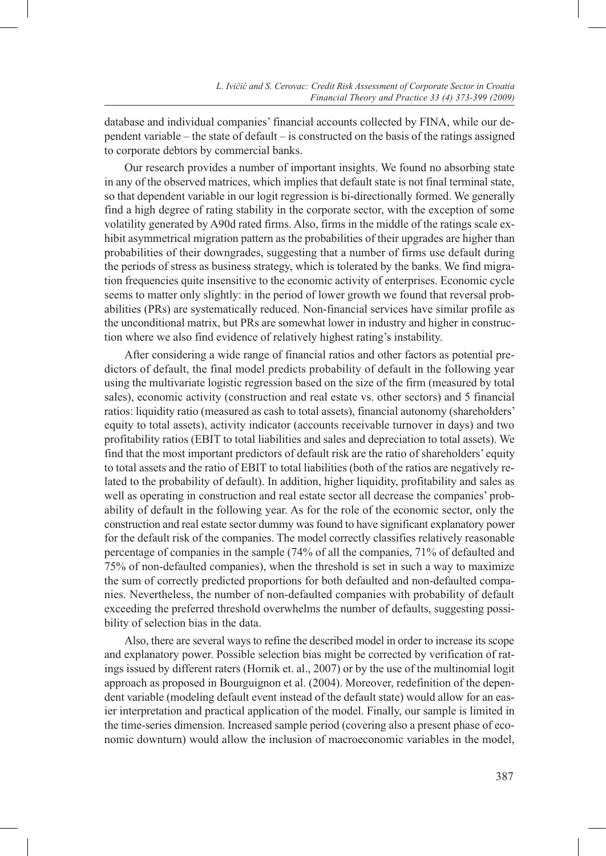database and individual companies' financial accounts collected by FINA, while our dependent variable – the state of default – is constructed on the basis of the ratings assigned to corporate debtors by commercial banks.

Our research provides a number of important insights. We found no absorbing state in any of the observed matrices, which implies that default state is not final terminal state, so that dependent variable in our logit regression is bi-directionally formed. We generally find a high degree of rating stability in the corporate sector, with the exception of some volatility generated by A90d rated firms. Also, firms in the middle of the ratings scale exhibit asymmetrical migration pattern as the probabilities of their upgrades are higher than probabilities of their downgrades, suggesting that a number of firms use default during the periods of stress as business strategy, which is tolerated by the banks. We find migration frequencies quite insensitive to the economic activity of enterprises. Economic cycle seems to matter only slightly: in the period of lower growth we found that reversal probabilities (PRs) are systematically reduced. Non-financial services have similar profile as the unconditional matrix, but PRs are somewhat lower in industry and higher in construction where we also find evidence of relatively highest rating's instability.

After considering a wide range of financial ratios and other factors as potential predictors of default, the final model predicts probability of default in the following year using the multivariate logistic regression based on the size of the firm (measured by total sales), economic activity (construction and real estate vs. other sectors) and 5 financial ratios: liquidity ratio (measured as cash to total assets), financial autonomy (shareholders' equity to total assets), activity indicator (accounts receivable turnover in days) and two profitability ratios (EBIT to total liabilities and sales and depreciation to total assets). We find that the most important predictors of default risk are the ratio of shareholders' equity to total assets and the ratio of EBIT to total liabilities (both of the ratios are negatively related to the probability of default). In addition, higher liquidity, profitability and sales as well as operating in construction and real estate sector all decrease the companies' probability of default in the following year. As for the role of the economic sector, only the construction and real estate sector dummy was found to have significant explanatory power for the default risk of the companies. The model correctly classifies relatively reasonable percentage of companies in the sample (74% of all the companies, 71% of defaulted and 75% of non-defaulted companies), when the threshold is set in such a way to maximize the sum of correctly predicted proportions for both defaulted and non-defaulted companies. Nevertheless, the number of non-defaulted companies with probability of default exceeding the preferred threshold overwhelms the number of defaults, suggesting possibility of selection bias in the data.

Also, there are several ways to refine the described model in order to increase its scope and explanatory power. Possible selection bias might be corrected by verification of ratings issued by different raters (Hornik et. al., 2007) or by the use of the multinomial logit approach as proposed in Bourguignon et al. (2004). Moreover, redefinition of the dependent variable (modeling default event instead of the default state) would allow for an easier interpretation and practical application of the model. Finally, our sample is limited in the time-series dimension. Increased sample period (covering also a present phase of economic downturn) would allow the inclusion of macroeconomic variables in the model,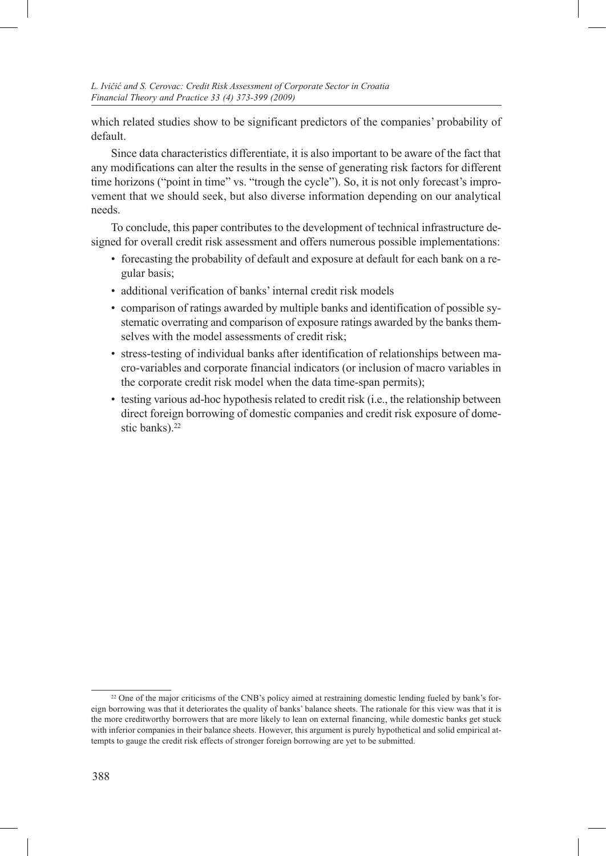which related studies show to be significant predictors of the companies' probability of default.

Since data characteristics differentiate, it is also important to be aware of the fact that any modifications can alter the results in the sense of generating risk factors for different time horizons ("point in time" vs. "trough the cycle"). So, it is not only forecast's improvement that we should seek, but also diverse information depending on our analytical needs.

To conclude, this paper contributes to the development of technical infrastructure designed for overall credit risk assessment and offers numerous possible implementations:

- forecasting the probability of default and exposure at default for each bank on a regular basis;
- additional verification of banks' internal credit risk models
- comparison of ratings awarded by multiple banks and identification of possible systematic overrating and comparison of exposure ratings awarded by the banks themselves with the model assessments of credit risk;
- stress-testing of individual banks after identification of relationships between macro-variables and corporate financial indicators (or inclusion of macro variables in the corporate credit risk model when the data time-span permits);
- testing various ad-hoc hypothesis related to credit risk (i.e., the relationship between direct foreign borrowing of domestic companies and credit risk exposure of domestic banks).22

<sup>&</sup>lt;sup>22</sup> One of the major criticisms of the CNB's policy aimed at restraining domestic lending fueled by bank's foreign borrowing was that it deteriorates the quality of banks' balance sheets. The rationale for this view was that it is the more creditworthy borrowers that are more likely to lean on external financing, while domestic banks get stuck with inferior companies in their balance sheets. However, this argument is purely hypothetical and solid empirical attempts to gauge the credit risk effects of stronger foreign borrowing are yet to be submitted.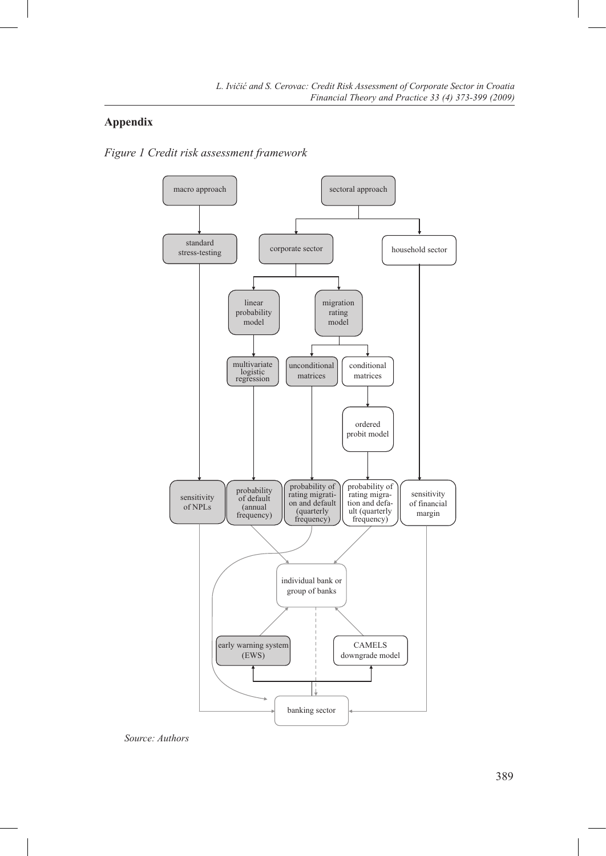# **Appendix**

*Figure 1 Credit risk assessment framework*



*Source: Authors*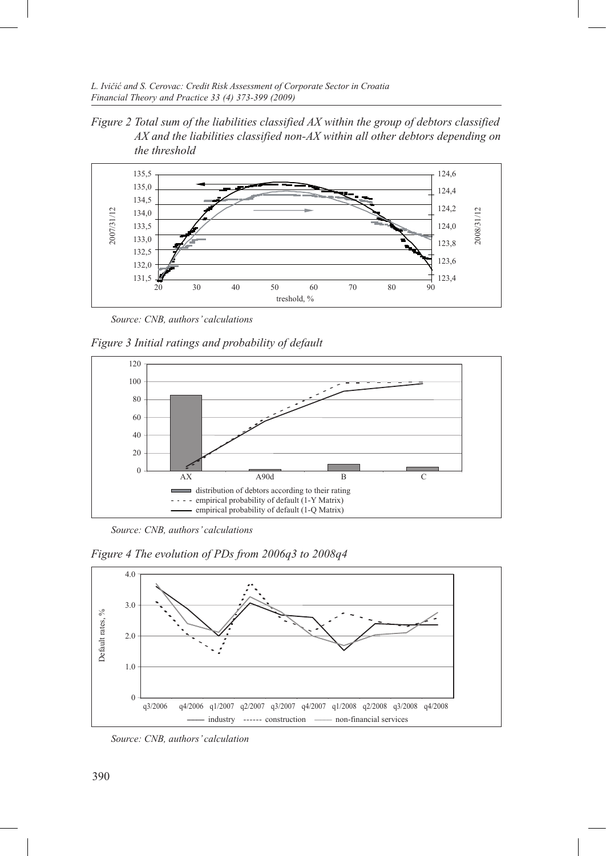*L. Ivičić and S. Cerovac: Credit Risk Assessment of Corporate Sector in Croatia Financial Theory and Practice 33 (4) 373-399 (2009)*

*Figure 2 Total sum of the liabilities classified AX within the group of debtors classified AX and the liabilities classified non-AX within all other debtors depending on the threshold*



*Source: CNB, authors' calculations*

*Figure 3 Initial ratings and probability of default*



*Source: CNB, authors' calculations*

*Figure 4 The evolution of PDs from 2006q3 to 2008q4*



*Source: CNB, authors' calculation*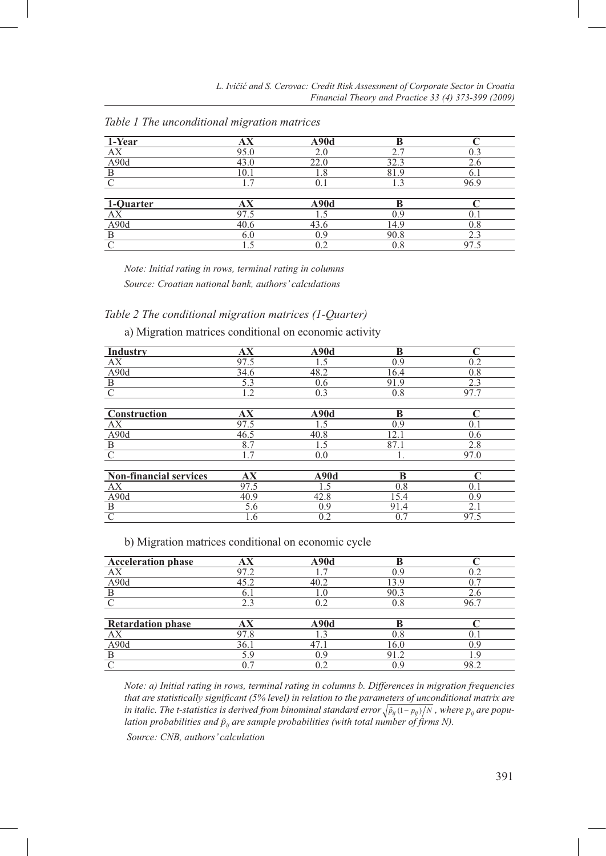| 1-Year            | AX     | A90d |      |          |
|-------------------|--------|------|------|----------|
| АX                | 95.0   | 2.0  |      |          |
| A <sub>90</sub> d | 43.0   | 22.0 | 32.3 | 2.6      |
| B                 | 10.1   | 1.8  | 81.9 | 6.1      |
|                   | $\tau$ |      |      | 96.9     |
|                   |        |      |      |          |
| 1-Quarter         | АX     | A90d | R    |          |
|                   | 97.5   |      | ηq   |          |
| A90d              | 40.6   | 43.6 | 14.9 | $_{0.8}$ |
| B                 | 6.0    | 0.9  | 90.8 | 2.3      |
|                   |        |      | 0.8  |          |

*Table 1 The unconditional migration matrices*

*Note: Initial rating in rows, terminal rating in columns*

*Source: Croatian national bank, authors' calculations*

### *Table 2 The conditional migration matrices (1-Quarter)*

a) Migration matrices conditional on economic activity

| Industry                      | AX   | A90d | B    | C    |
|-------------------------------|------|------|------|------|
| AX                            | 97.5 | 1.5  | 0.9  | 0.2  |
| A90d                          | 34.6 | 48.2 | 16.4 | 0.8  |
| $\frac{B}{C}$                 | 5.3  | 0.6  | 91.9 | 2.3  |
|                               | 1.2  | 0.3  | 0.8  | 97.7 |
|                               |      |      |      |      |
| Construction                  | AX   | A90d | B    | C    |
| AX                            | 97.5 | 1.5  | 0.9  | 0.1  |
| A <sub>90</sub> d             | 46.5 | 40.8 | 12.1 | 0.6  |
| $\overline{B}$                | 8.7  | 1.5  | 87.1 | 2.8  |
| $\mathcal{C}$                 | 1.7  | 0.0  |      | 97.0 |
|                               |      |      |      |      |
| <b>Non-financial services</b> | AX   | A90d | B    |      |
| AX                            | 97.5 | 1.5  | 0.8  | 0.1  |
| A90d                          | 40.9 | 42.8 | 15.4 | 0.9  |
| $\overline{\mathbf{B}}$       | 5.6  | 0.9  | 91.4 | 2.1  |
| $\mathcal{C}$                 | 1.6  | 0.2  | 0.7  | 97.5 |
|                               |      |      |      |      |

b) Migration matrices conditional on economic cycle

| <b>Acceleration phase</b> | AX   | A90d |         |      |
|---------------------------|------|------|---------|------|
| АX                        | 97.2 |      | በ ባ     | ר ו  |
| A90d                      | 45.2 | 40.2 | 13.9    |      |
|                           | 6. I | LO.  | 90.3    | 2.6  |
|                           | 2.3  | 0.2  | $0.8\,$ | 96.7 |
|                           |      |      |         |      |
| <b>Retardation phase</b>  | AX   | A90d |         |      |
| AX                        | 97.8 |      | 0.8     |      |
| A90d                      | 36.1 |      | 16.0    | ηq   |
|                           | 5.9  | ገ ዓ  | 91.2    | - y  |
|                           | 0.7  |      | ). 9    | 98.2 |

*Note: a) Initial rating in rows, terminal rating in columns b. Differences in migration frequencies that are statistically significant (5% level) in relation to the parameters of unconditional matrix are*  in italic. The t-statistics is derived from binominal standard error  $\sqrt{\hat p_{ij}(1-p_{ij})}/N$  , where  $p_{ij}$  are popu*lation probabilities and pij are sample probabilities (with total number of firms N).*

 *Source: CNB, authors' calculation*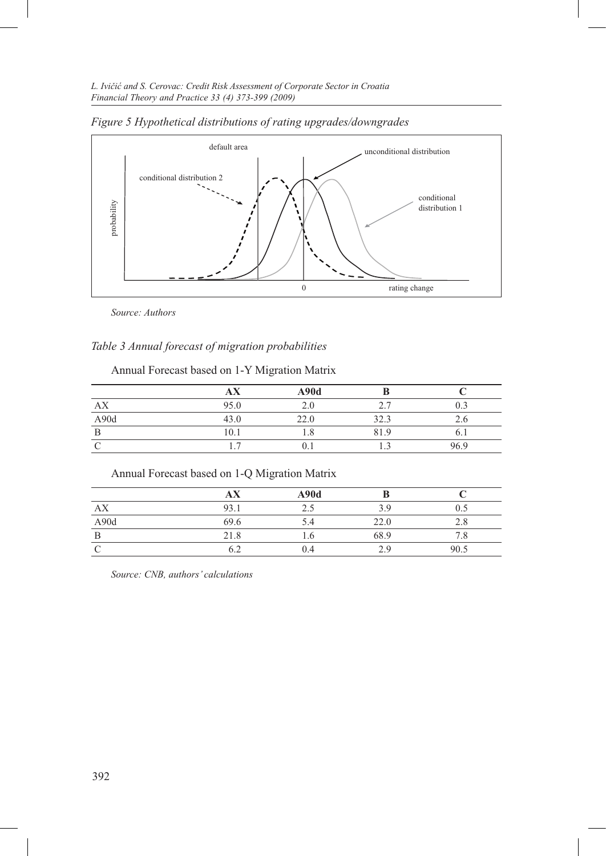*L. Ivičić and S. Cerovac: Credit Risk Assessment of Corporate Sector in Croatia Financial Theory and Practice 33 (4) 373-399 (2009)*



*Figure 5 Hypothetical distributions of rating upgrades/downgrades*

*Source: Authors*

# *Table 3 Annual forecast of migration probabilities*

Annual Forecast based on 1-Y Migration Matrix

|      | $\sqrt{1}$ | A90d |                            |          |
|------|------------|------|----------------------------|----------|
| AX   | 95.0       | 2.0  | $\overline{ }$<br><u>.</u> | $_{0.3}$ |
| A90d | 43.0       | 22.0 | 323<br>د. ے د              | 2.6      |
| B    | 10.1       | 1.8  | 81.9                       | O. 1     |
|      |            |      |                            | 96.9     |

# Annual Forecast based on 1-Q Migration Matrix

|      | AX   | A90d |      |      |
|------|------|------|------|------|
| AX   | 93.1 |      | 3 Q  | 0.5  |
| A90d | 69.6 | 5.4  | 22.0 | 2.8  |
| B    | 21.8 | 1.O  | 68.9 | 8./  |
|      |      | 0.4  | 2 Q  | 90.5 |

*Source: CNB, authors' calculations*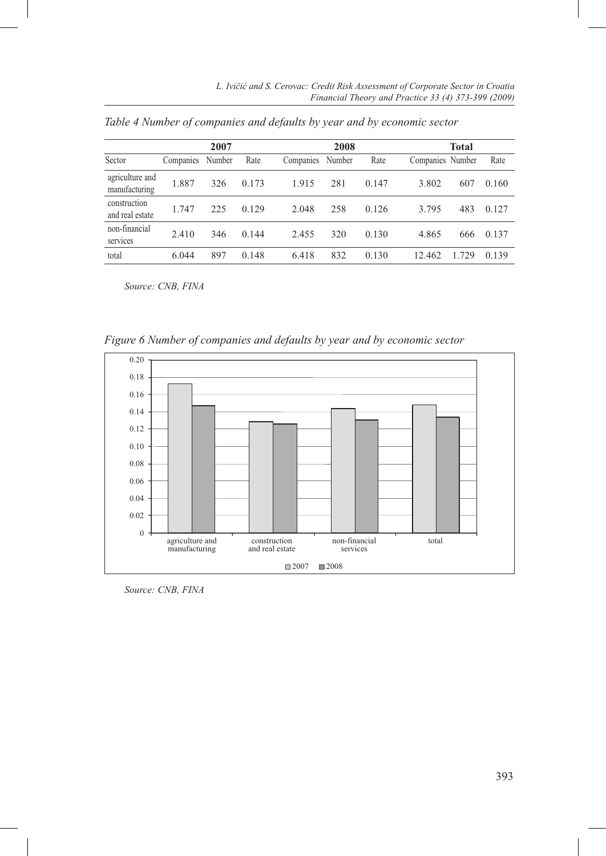|                                  |           | 2007   |       |           | 2008   |       |                  | Total |       |
|----------------------------------|-----------|--------|-------|-----------|--------|-------|------------------|-------|-------|
| Sector                           | Companies | Number | Rate  | Companies | Number | Rate  | Companies Number |       | Rate  |
| agriculture and<br>manufacturing | 1.887     | 326    | 0.173 | 1.915     | 281    | 0.147 | 3.802            | 607   | 0.160 |
| construction<br>and real estate  | 1.747     | 225    | 0.129 | 2.048     | 258    | 0.126 | 3.795            | 483   | 0.127 |
| non-financial<br>services        | 2.410     | 346    | 0.144 | 2.455     | 320    | 0.130 | 4.865            | 666   | 0.137 |
| total                            | 6.044     | 897    | 0.148 | 6.418     | 832    | 0.130 | 12.462           | 1.729 | 0.139 |

*Table 4 Number of companies and defaults by year and by economic sector*

*Source: CNB, FINA*

*Figure 6 Number of companies and defaults by year and by economic sector*



*Source: CNB, FINA*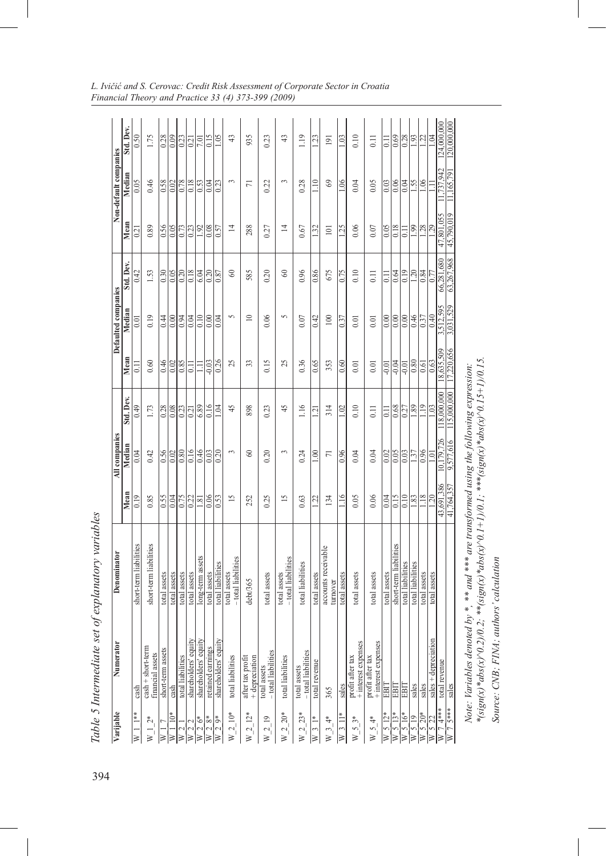| Varijable                    | ×<br>Numerato                              | Denominator                                                                                                                                                                        |                   | All companies     |                     |                | Defaulted companies |                   |                     | Non-default companies |                   |
|------------------------------|--------------------------------------------|------------------------------------------------------------------------------------------------------------------------------------------------------------------------------------|-------------------|-------------------|---------------------|----------------|---------------------|-------------------|---------------------|-----------------------|-------------------|
|                              |                                            |                                                                                                                                                                                    | Mean              | Median            | Std. Dev.           | Mean           | Median              | Std. Dev.         | Mean                | Median                | Std. Dev.         |
| $\frac{1}{1}$<br>≽           | cash                                       | short-term liabilities                                                                                                                                                             | 0.19              | 0.04              | 64.0                | $\overline{1}$ |                     | 0.42              | 0.21                |                       | 0.50              |
| $W_{-}1_{-}2*$               | $cash + short-term$<br>financial assets    | short-term liabilities                                                                                                                                                             | 0.85              | 0.42              | 1.73                | 0.60           | 0.19                | 1.53              | 0.89                | 0.46                  | 1.75              |
| $\geq$                       | short-term assets                          | total assets                                                                                                                                                                       | 0.55              | 0.56              | 0.28                | 0.46           | 0.44                | 0.30              | 0.56                | 0.58                  | 0.28              |
| $W 1 10*$                    | cash                                       | total assets                                                                                                                                                                       | 0.04              | 0.02              | 0.08                | 0.02           | 0.00                | 0.05              | 0.05                | 0.02                  | 0.09              |
| W <sub>2</sub>               | total liabilities                          | total assets                                                                                                                                                                       | 0.75              | 0.80              | 0.23                | 0.85           | 6.04                | 0.20              | 0.73                | 0.78                  | $\overline{0.23}$ |
| $\overline{W}$ 2 2           | shareholders' equity                       | total assets                                                                                                                                                                       | $\overline{0.22}$ | 0.16              | $\overline{0.21}$   | $\Xi$          | 0.04                | 0.18              | $\overline{0.23}$   | 0.18                  | $\sqrt{0.21}$     |
| $W 2 6*$                     | 힄<br>shareholders' equ                     | long-term assets                                                                                                                                                                   | 1.81              | 0.46              | 6.89                | Ξ              | 0.10                | 6.04              |                     | 0.53                  | 7.01              |
| $\overline{W}$ 2 $8*$        | retained earnings                          | total assets                                                                                                                                                                       | 0.06              | 0.03              | 0.16                | $-0.03$        | $\overline{0.00}$   | 0.20              | $\frac{1.92}{0.08}$ | $\overline{0.04}$     | 0.15              |
| $W^2$ 2 9*                   | Æ<br>shareholders' equ                     | total liabilities                                                                                                                                                                  | 0.53              | $\overline{0.20}$ | 1.04                | 0.26           | 0.04                | $\sqrt{8.0}$      | $\sqrt{6.57}$       | 0.23                  | 1.05              |
| $W_{-2}^{2}$ 10*             | total liabilities                          | - total liabilities<br>total assets                                                                                                                                                | $\overline{15}$   | 3                 | 45                  | 25             | 5                   | $\infty$          | $\overline{4}$      | 3                     | 43                |
| $W_2$ 12*                    | after tax profit<br>+ depreciation         | debt/365                                                                                                                                                                           | 252               | $\mathcal{S}$     | 898                 | 33             | $\overline{10}$     | 585               | 288                 | $\overline{7}$        | 935               |
| $W_2$ 19                     | -total liabilities<br>total assets         | total assets                                                                                                                                                                       | 0.25              | 0.20              | 0.23                | 0.15           | 0.06                | 0.20              | 0.27                | 0.22                  | 0.23              |
| $W_2^2 20*$                  | total liabilities                          | - total liabilities<br>total assets                                                                                                                                                | $\overline{15}$   | 3                 | 45                  | 25             | 5                   | $\infty$          | $\overline{4}$      | 3                     | 43                |
| $W_2^2 = 23*$                | -total liabilities<br>total assets         | total liabilities                                                                                                                                                                  | 0.63              | 0.24              | 1.16                | 0.36           | 0.07                | 0.96              | 0.67                | 0.28                  | 1.19              |
| $W_3$ 1*                     | total revenue                              | total assets                                                                                                                                                                       | 1.22              | $\frac{8}{10}$    | $\overline{121}$    | 0.65           | 0.42                | 0.86              | 132                 | $\Xi$                 | 1.23              |
| $W_{-}^{3}$ 4*               | 365                                        | accounts receivable<br>turnover                                                                                                                                                    | 134               | $\overline{7}$    | 314                 | 353            | 100                 | 675               | 101                 | 3                     | 191               |
| $W311*$                      | sales                                      | total assets                                                                                                                                                                       | 1.16              | 0.96              | 1.02                | 0.60           | 0.37                | 0.75              | 125                 | 1.06                  | 1.03              |
| $W_5 3*$                     | + interest expenses<br>profit after tax    | total assets                                                                                                                                                                       | 0.05              | 0.04              | 0.10                | 0.01           | 0.01                | 0.10              | 0.06                | 0.04                  | 0.10              |
| $W_5^4$ 4*                   | 8<br>+ interest expens<br>profit after tax | total assets                                                                                                                                                                       | 0.06              | 0.04              | 0.11                | 0.01           | 0.01                | 0.11              | 0.07                | 0.05                  | 0.11              |
| $\overline{W}$ 5 12*         | EBIT                                       | total assets                                                                                                                                                                       | 0.04              | 0.02              | Ξ                   | $-0.01$        | 0.00                | $\Xi$             | 0.05                | 0.03                  | $\Xi$             |
| $\overline{W}$ 5 13*         | EBIT                                       | short-term liabilities                                                                                                                                                             | 0.15              | 0.05              | 0.68                | $-0.04$        | 0.00                | 0.64              | 0.18                | 0.06                  | 0.69              |
| W 5 16*                      | EBIT                                       | total liabilities                                                                                                                                                                  | 0.10              | 0.03              | $\frac{0.27}{1.89}$ | $-0.01$        | $0.00$              | 0.19              | $\overline{0}$ .    | 0.04                  | 0.28              |
| $\overline{W}$ 5 19          | sales                                      | total liabilities                                                                                                                                                                  | 1.83              | $\overline{1.37}$ |                     | 0.80           | 0.46                | $\overline{1.20}$ | .99                 | 1.55                  | 1.93              |
| $W$ 5 20*                    | sales                                      | total assets                                                                                                                                                                       | 1.18              | $\frac{96}{0}$    | $\frac{19}{2}$      | 0.61           | 0.37                | 0.84              | 1.28                | .06                   | 1.22              |
| W 5 22                       | $\Xi$<br>$sales +nveciat$                  | total assets                                                                                                                                                                       | 20                |                   | S                   | 0.63           | 0.40                |                   |                     |                       | $\widetilde{c}$   |
| 7 4***<br>$\triangleright$   | total revenue                              |                                                                                                                                                                                    | 43,691,386        | 10.179.726        | 18.000.000          | 8.635.509      | 3,512,595           | 66.281.680        | 47,801,055          | 737.942               | .24,000,000       |
| 5***<br>$\overline{a}$<br>∣≽ | sales                                      |                                                                                                                                                                                    | 41,764,357        | 9,577,616         | 115,000,000         | 17,220,656     | 3,031,529           | 63,267,968        | 45,790,019          | ,165,791              | 120,000,000       |
|                              | $*(sign(x)*abs(x)\wedge 0$                 | $2/0.2$ ; ** $(sign(x)*abs(x)^{0.1} + 1)/0.1$ ; *** $(sign(x)*abs(x)^{0.15} + 1)/0.15$<br>Note: Variables denoted by *, ** and *** are transformed using the following expression: |                   |                   |                     |                |                     |                   |                     |                       |                   |

*Source: CNB; FINA; authors' calculation*

Source: CNB; FINA; authors' calculation

*L. Ivičić and S. Cerovac: Credit Risk Assessment of Corporate Sector in Croatia Financial Theory and Practice 33 (4) 373-399 (2009)*

394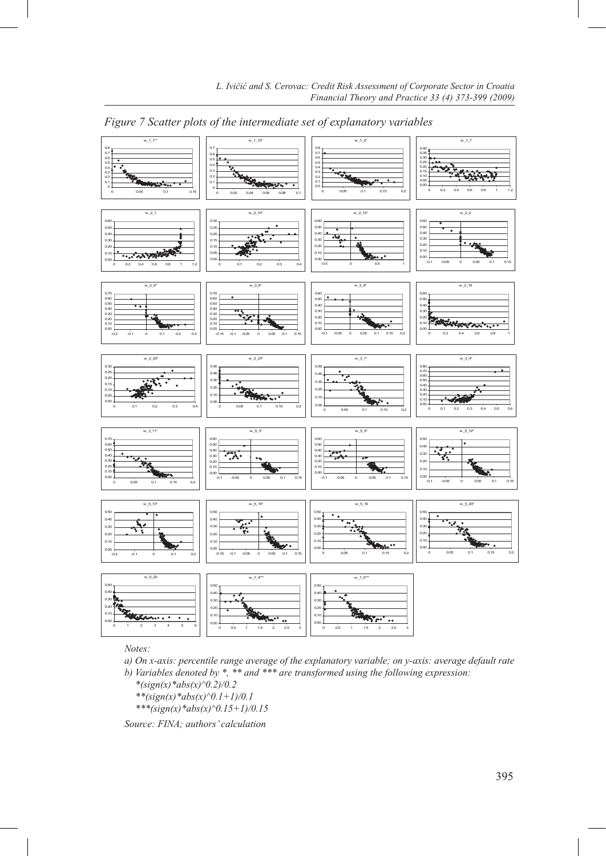

*Figure 7 Scatter plots of the intermediate set of explanatory variables*

*Notes:*

*a) On x-axis: percentile range average of the explanatory variable; on y-axis: average default rate*

*b) Variables denoted by \*, \*\* and \*\*\* are transformed using the following expression:*

- *\*(sign(x)\*abs(x)^0.2)/0.2*
- $**(sign(x)*abs(x)^0.1+1)/0.1$
- *\*\*\*(sign(x)\*abs(x)^0.15+1)/0.15*

*Source: FINA; authors' calculation*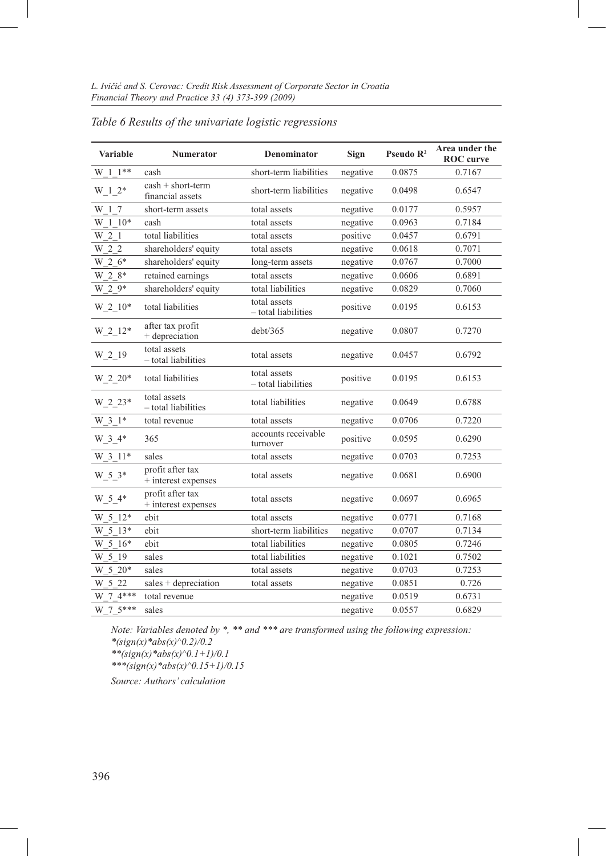| Variable              | <b>Numerator</b>                        | <b>Denominator</b>                  | <b>Sign</b> | Pseudo $\mathbb{R}^2$ | Area under the<br><b>ROC</b> curve |
|-----------------------|-----------------------------------------|-------------------------------------|-------------|-----------------------|------------------------------------|
| $W_1 1$ **            | cash                                    | short-term liabilities              | negative    | 0.0875                | 0.7167                             |
| $W_1^2$ $2*$          | $cash + short-term$<br>financial assets | short-term liabilities              | negative    | 0.0498                | 0.6547                             |
| W 1 7                 | short-term assets                       | total assets                        | negative    | 0.0177                | 0.5957                             |
| $W_1$ <sub>1</sub> 0* | cash                                    | total assets                        | negative    | 0.0963                | 0.7184                             |
| W 2 1                 | total liabilities                       | total assets                        | positive    | 0.0457                | 0.6791                             |
| $W_2_2$               | shareholders' equity                    | total assets                        | negative    | 0.0618                | 0.7071                             |
| $W_2_6*$              | shareholders' equity                    | long-term assets                    | negative    | 0.0767                | 0.7000                             |
| $W_2_8*$              | retained earnings                       | total assets                        | negative    | 0.0606                | 0.6891                             |
| $W_2^9*$              | shareholders' equity                    | total liabilities                   | negative    | 0.0829                | 0.7060                             |
| $W_2$ -10*            | total liabilities                       | total assets<br>- total liabilities | positive    | 0.0195                | 0.6153                             |
| $W_2$ _12*            | after tax profit<br>+ depreciation      | debt/365                            | negative    | 0.0807                | 0.7270                             |
| $W_2_19$              | total assets<br>- total liabilities     | total assets                        | negative    | 0.0457                | 0.6792                             |
| $W_2 20*$             | total liabilities                       | total assets<br>- total liabilities | positive    | 0.0195                | 0.6153                             |
| $W_2_2^2$             | total assets<br>- total liabilities     | total liabilities                   | negative    | 0.0649                | 0.6788                             |
| W 3 1*                | total revenue                           | total assets                        | negative    | 0.0706                | 0.7220                             |
| W 3 4*                | 365                                     | accounts receivable<br>turnover     | positive    | 0.0595                | 0.6290                             |
| W 3 11*               | sales                                   | total assets                        | negative    | 0.0703                | 0.7253                             |
| W 5 3*                | profit after tax<br>+ interest expenses | total assets                        | negative    | 0.0681                | 0.6900                             |
| $W_5_4*$              | profit after tax<br>+ interest expenses | total assets                        | negative    | 0.0697                | 0.6965                             |
| W 5 12*               | ebit                                    | total assets                        | negative    | 0.0771                | 0.7168                             |
| W 5 13*               | ebit                                    | short-term liabilities              | negative    | 0.0707                | 0.7134                             |
| W 5 16*               | ebit                                    | total liabilities                   | negative    | 0.0805                | 0.7246                             |
| W 5 19                | sales                                   | total liabilities                   | negative    | 0.1021                | 0.7502                             |
| $W_5_20*$             | sales                                   | total assets                        | negative    | 0.0703                | 0.7253                             |
| W 5 22                | sales + depreciation                    | total assets                        | negative    | 0.0851                | 0.726                              |
| $W$ 7 4***            | total revenue                           |                                     | negative    | 0.0519                | 0.6731                             |
| W 7 5***              | sales                                   |                                     | negative    | 0.0557                | 0.6829                             |

*Table 6 Results of the univariate logistic regressions*

*Note: Variables denoted by \*, \*\* and \*\*\* are transformed using the following expression: \*(sign(x)\*abs(x)^0.2)/0.2*

*\*\*(sign(x)\*abs(x)^0.1+1)/0.1*

*\*\*\*(sign(x)\*abs(x)^0.15+1)/0.15*

*Source: Authors' calculation*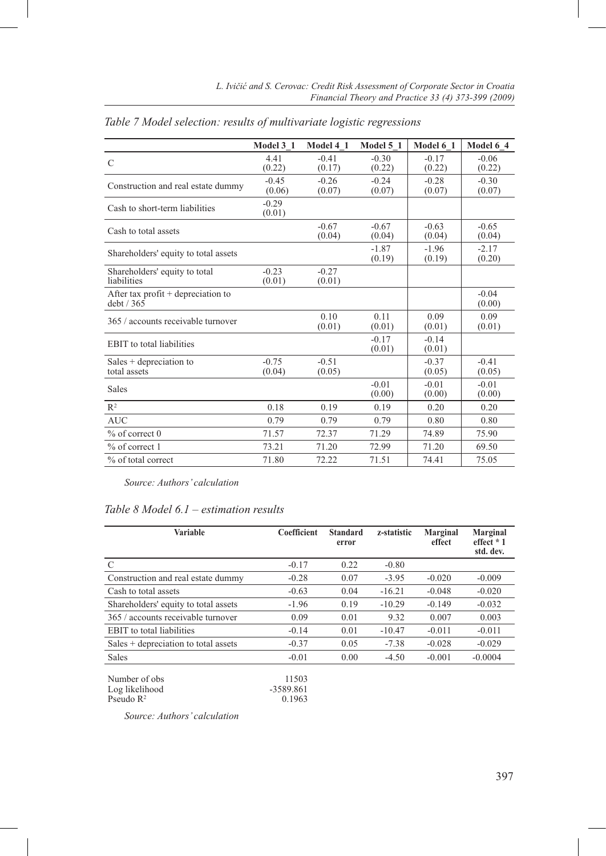|                                                  | Model 3 1         | Model 4 1         | Model 5 1         | Model 6 1         | Model 6 4         |
|--------------------------------------------------|-------------------|-------------------|-------------------|-------------------|-------------------|
| C                                                | 4.41<br>(0.22)    | $-0.41$<br>(0.17) | $-0.30$<br>(0.22) | $-0.17$<br>(0.22) | $-0.06$<br>(0.22) |
| Construction and real estate dummy               | $-0.45$<br>(0.06) | $-0.26$<br>(0.07) | $-0.24$<br>(0.07) | $-0.28$<br>(0.07) | $-0.30$<br>(0.07) |
| Cash to short-term liabilities                   | $-0.29$<br>(0.01) |                   |                   |                   |                   |
| Cash to total assets                             |                   | $-0.67$<br>(0.04) | $-0.67$<br>(0.04) | $-0.63$<br>(0.04) | $-0.65$<br>(0.04) |
| Shareholders' equity to total assets             |                   |                   | $-1.87$<br>(0.19) | $-1.96$<br>(0.19) | $-2.17$<br>(0.20) |
| Shareholders' equity to total<br>liabilities     | $-0.23$<br>(0.01) | $-0.27$<br>(0.01) |                   |                   |                   |
| After tax profit $+$ depreciation to<br>debt/365 |                   |                   |                   |                   | $-0.04$<br>(0.00) |
| 365 / accounts receivable turnover               |                   | 0.10<br>(0.01)    | 0.11<br>(0.01)    | 0.09<br>(0.01)    | 0.09<br>(0.01)    |
| <b>EBIT</b> to total liabilities                 |                   |                   | $-0.17$<br>(0.01) | $-0.14$<br>(0.01) |                   |
| Sales $+$ depreciation to<br>total assets        | $-0.75$<br>(0.04) | $-0.51$<br>(0.05) |                   | $-0.37$<br>(0.05) | $-0.41$<br>(0.05) |
| <b>Sales</b>                                     |                   |                   | $-0.01$<br>(0.00) | $-0.01$<br>(0.00) | $-0.01$<br>(0.00) |
| $R^2$                                            | 0.18              | 0.19              | 0.19              | 0.20              | 0.20              |
| <b>AUC</b>                                       | 0.79              | 0.79              | 0.79              | 0.80              | 0.80              |
| $%$ of correct 0                                 | 71.57             | 72.37             | 71.29             | 74.89             | 75.90             |
| $%$ of correct 1                                 | 73.21             | 71.20             | 72.99             | 71.20             | 69.50             |
| % of total correct                               | 71.80             | 72.22             | 71.51             | 74.41             | 75.05             |

*Table 7 Model selection: results of multivariate logistic regressions*

*Source: Authors' calculation*

# *Table 8 Model 6.1 – estimation results*

| Variable                               | Coefficient | <b>Standard</b><br>error | z-statistic | Marginal<br>effect | Marginal<br>effect * 1<br>std. dev. |
|----------------------------------------|-------------|--------------------------|-------------|--------------------|-------------------------------------|
| $\mathcal{C}$                          | $-0.17$     | 0.22                     | $-0.80$     |                    |                                     |
| Construction and real estate dummy     | $-0.28$     | 0.07                     | $-3.95$     | $-0.020$           | $-0.009$                            |
| Cash to total assets                   | $-0.63$     | 0.04                     | $-16.21$    | $-0.048$           | $-0.020$                            |
| Shareholders' equity to total assets   | $-1.96$     | 0.19                     | $-10.29$    | $-0.149$           | $-0.032$                            |
| 365 / accounts receivable turnover     | 0.09        | 0.01                     | 9.32        | 0.007              | 0.003                               |
| <b>EBIT</b> to total liabilities       | $-0.14$     | 0.01                     | $-10.47$    | $-0.011$           | $-0.011$                            |
| $Sales + depreciation to total assets$ | $-0.37$     | 0.05                     | $-7.38$     | $-0.028$           | $-0.029$                            |
| <b>Sales</b>                           | $-0.01$     | 0.00                     | $-4.50$     | $-0.001$           | $-0.0004$                           |
| Number of obs                          | 11503<br>.  |                          |             |                    |                                     |

| Number of obs         | 11503     |
|-----------------------|-----------|
| Log likelihood        | -3589.861 |
| Pseudo $\mathbb{R}^2$ | 0.1963    |

*Source: Authors' calculation*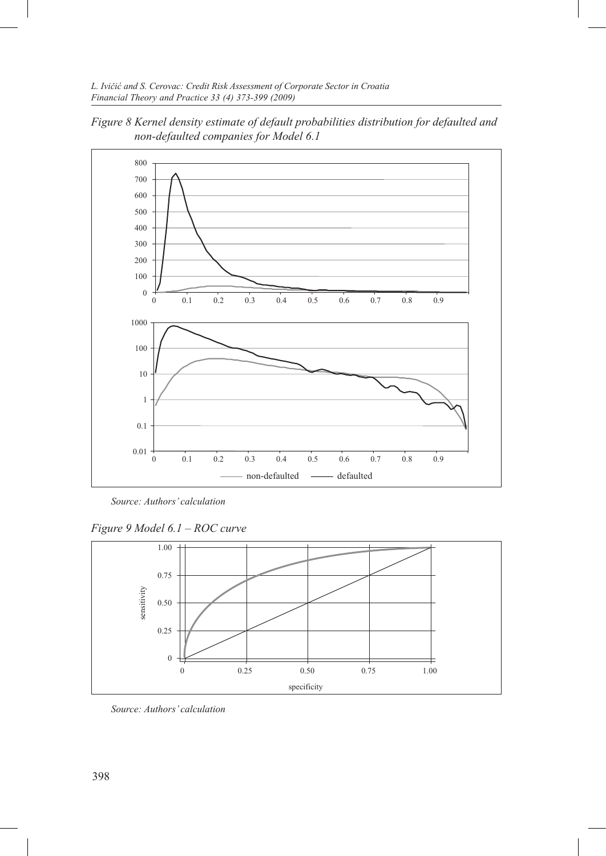

*Figure 8 Kernel density estimate of default probabilities distribution for defaulted and non-defaulted companies for Model 6.1*

*Source: Authors' calculation*

*Figure 9 Model 6.1 – ROC curve*



*Source: Authors' calculation*